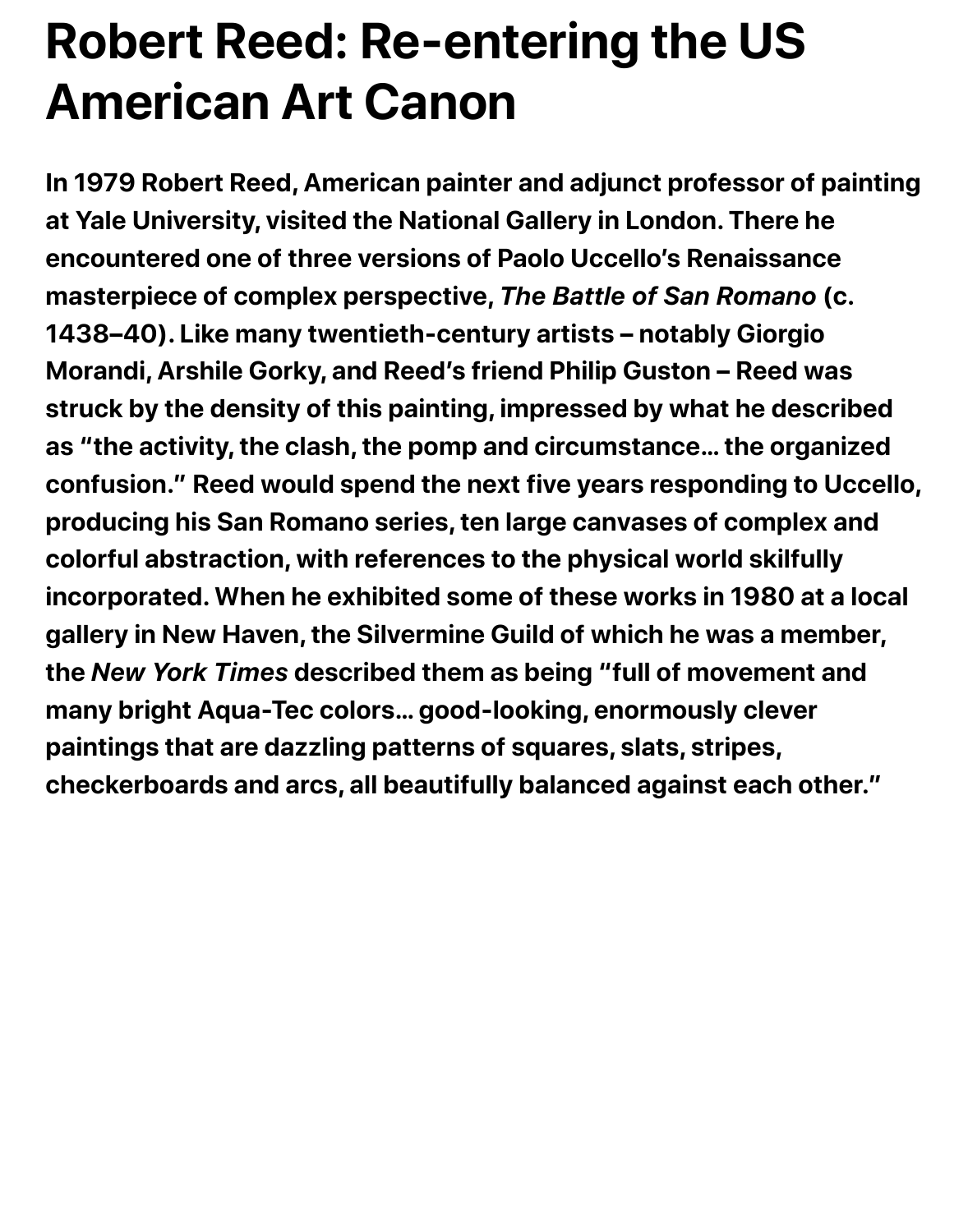## **Robert Reed: Re-entering the US American Art Canon**

**In 1979 Robert Reed, American painter and adjunct professor of painting at Yale University, visited the National Gallery in London. There he encountered one of three versions of Paolo Uccello's Renaissance masterpiece of complex perspective,** *The Battle of San Romano* **(c. 1438–40). Like many twentieth-century artists – notably Giorgio Morandi, Arshile Gorky, and Reed's friend Philip Guston – Reed was struck by the density of this painting, impressed by what he described as "the activity, the clash, the pomp and circumstance… the organized confusion." Reed would spend the next five years responding to Uccello, producing his San Romano series, ten large canvases of complex and colorful abstraction, with references to the physical world skilfully incorporated. When he exhibited some of these works in 1980 at a local gallery in New Haven, the Silvermine Guild of which he was a member, the** *New York Times* **described them as being "full of movement and many bright Aqua-Tec colors… good-looking, enormously clever paintings that are dazzling patterns of squares, slats, stripes, checkerboards and arcs, all beautifully balanced against each other."**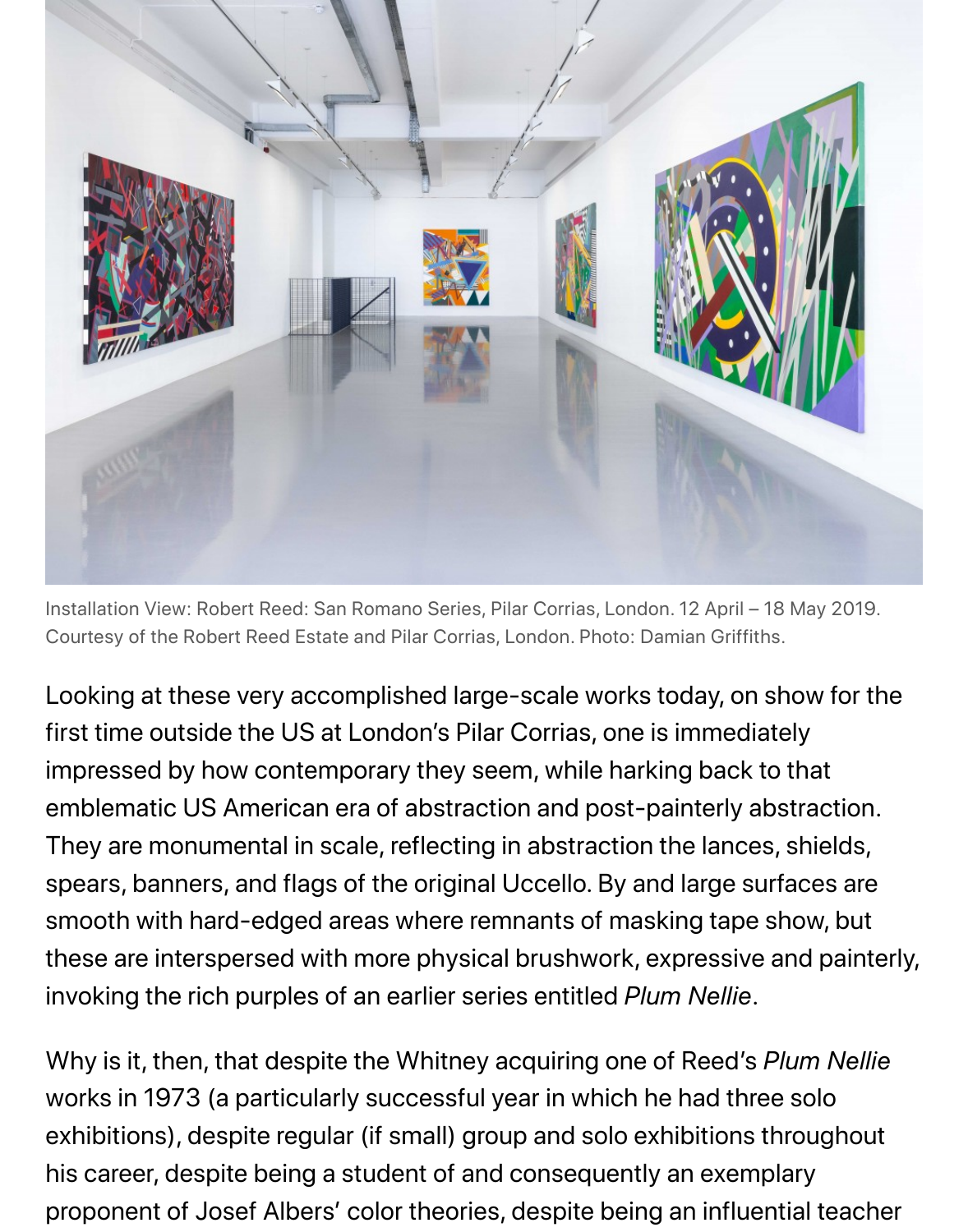

Installation View: Robert Reed: San Romano Series, Pilar Corrias, London. 12 April - 18 May Courtesy of the Robert Reed Estate and Pilar Corrias, London. Photo: Damian Griffiths.

Looking at these very accomplished large-scale works today, on show first time outside the US at London's Pilar Corrias, one is immediately impressed by how contemporary they seem, while harking back to tha emblematic US American era of abstraction and post-painterly abstraction. They are monumental in scale, reflecting in abstraction the lances, shio spears, banners, and flags of the original Uccello. By and large surface smooth with hard-edged areas where remnants of masking tape show these are interspersed with more physical brushwork, expressive and invoking the rich purples of an earlier series entitled *Plum Nellie*.

Why is it, then, that despite the Whitney acquiring one of Reed's Plum works in 1973 (a particularly successful year in which he had three sol exhibitions), despite regular (if small) group and solo exhibitions through his career, despite being a student of and consequently an exemplary proponent of Josef Albers' color theories, despite being an influential t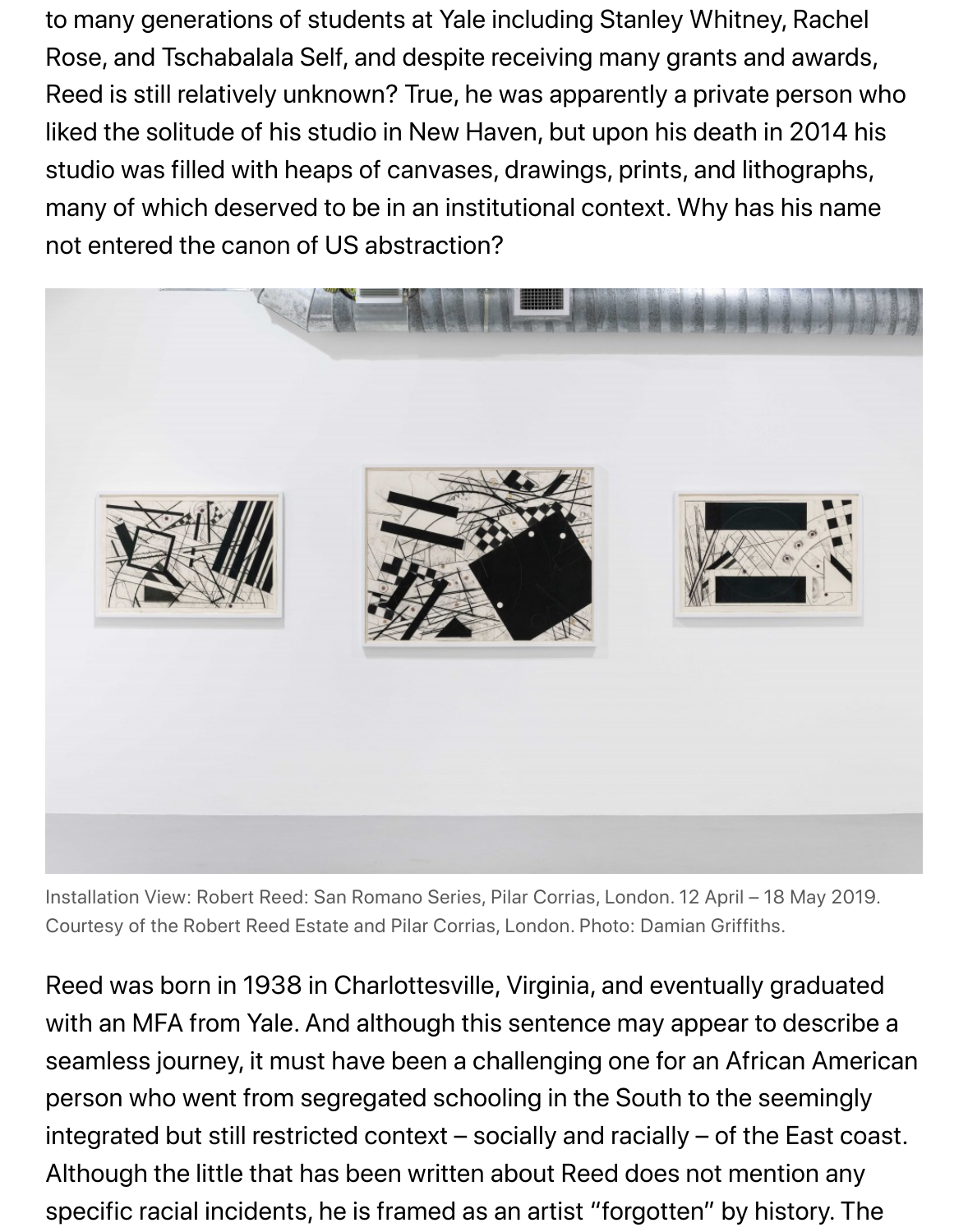studio was filled with heaps of canvases, drawings, prints, and lithographs, many of which deserved to be in an institutional context. Why has his no not entered the canon of US abstraction?



Installation View: Robert Reed: San Romano Series, Pilar Corrias, London. 12 April - 18 May Courtesy of the Robert Reed Estate and Pilar Corrias, London. Photo: Damian Griffiths.

Reed was born in 1938 in Charlottesville, Virginia, and eventually grad with an MFA from Yale. And although this sentence may appear to des seamless journey, it must have been a challenging one for an African A person who went from segregated schooling in the South to the seemi integrated but still restricted context  $-$  socially and racially  $-$  of the Eas Although the little that has been written about Reed does not mention specific racial incidents, he is framed as an artist "forgotten" by history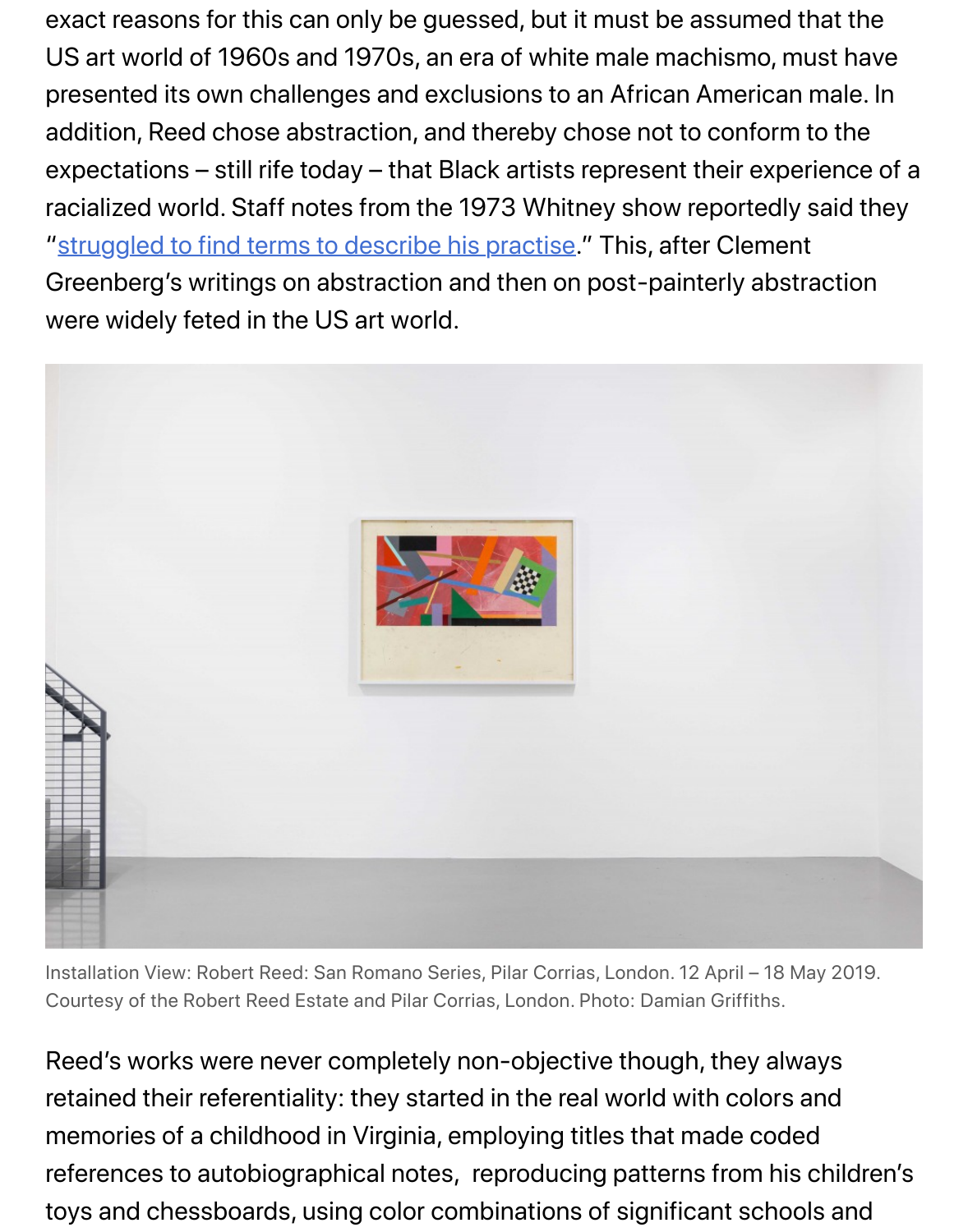expectations – still rife today – that Black artists represent their experi racialized world. Staff notes from the 1973 Whitney show reportedly said racial text. "struggled to find terms to describe his practise." This, after Clement Greenberg's writings on abstraction and then on post-painterly abstra were widely feted in the US art world.



Installation View: Robert Reed: San Romano Series, Pilar Corrias, London. 12 April - 18 May Courtesy of the Robert Reed Estate and Pilar Corrias, London. Photo: Damian Griffiths.

Reed's works were never completely non-objective though, they alway retained their referentiality: they started in the real world with colors ar memories of a childhood in Virginia, employing titles that made coded references to autobiographical notes, reproducing patterns from his c toys and chessboards, using color combinations of significant schools